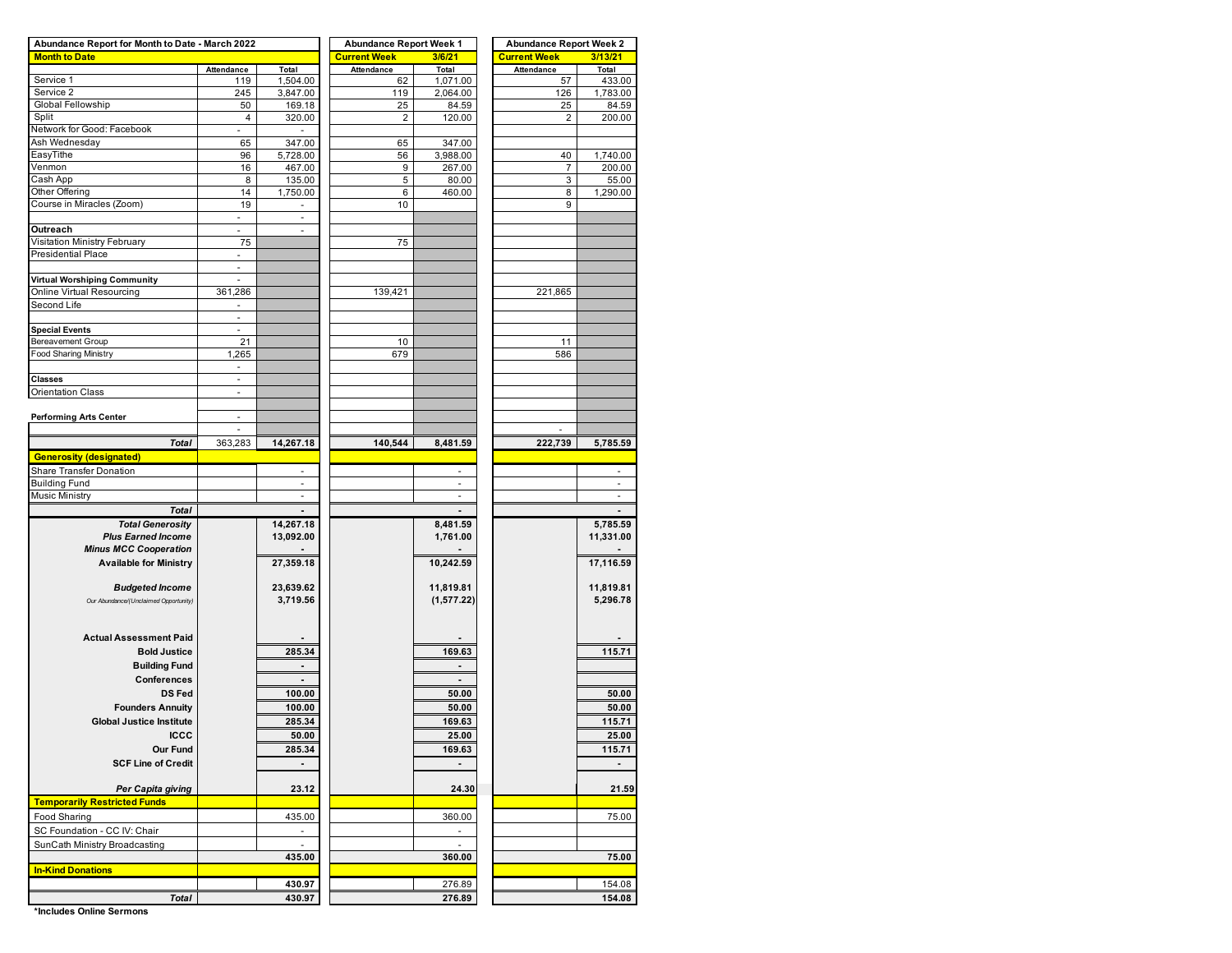| Abundance Report for Month to Date - March 2022 |                          |                          | <b>Abundance Report Week 1</b> |                          | <b>Abundance Report Week 2</b> |              |  |  |  |  |
|-------------------------------------------------|--------------------------|--------------------------|--------------------------------|--------------------------|--------------------------------|--------------|--|--|--|--|
| <b>Month to Date</b>                            |                          |                          | <b>Current Week</b>            | 3/6/21                   | <b>Current Week</b>            | 3/13/21      |  |  |  |  |
|                                                 | Attendance               | Total                    | Attendance                     | Total                    | Attendance                     | <b>Total</b> |  |  |  |  |
| Service 1                                       | 119                      | 1,504.00                 | 62                             | 1,071.00                 | 57                             | 433.00       |  |  |  |  |
| Service 2                                       | 245                      | 3,847.00                 | 119                            | 2,064.00                 | 126                            | 1,783.00     |  |  |  |  |
| Global Fellowship                               | 50                       | 169.18                   | 25                             | 84.59                    | 25                             | 84.59        |  |  |  |  |
| Split                                           | 4                        | 320.00                   | 2                              | 120.00                   | 2                              | 200.00       |  |  |  |  |
| Network for Good: Facebook                      | a.                       |                          |                                |                          |                                |              |  |  |  |  |
| Ash Wednesday                                   | 65                       | 347.00                   | 65                             | 347.00                   |                                |              |  |  |  |  |
| EasyTithe                                       | 96                       | 5,728.00                 | 56                             | 3,988.00                 | 40                             | 1,740.00     |  |  |  |  |
| Venmon                                          | 16                       | 467.00                   | 9                              | 267.00                   | 7                              | 200.00       |  |  |  |  |
| Cash App                                        | 8                        | 135.00                   | 5                              | 80.00                    | 3                              | 55.00        |  |  |  |  |
| Other Offering                                  | 14                       | 1,750.00                 | 6                              | 460.00                   | 8                              | 1,290.00     |  |  |  |  |
| Course in Miracles (Zoom)                       | 19                       |                          | 10                             |                          | 9                              |              |  |  |  |  |
|                                                 | $\sim$                   | $\sim$                   |                                |                          |                                |              |  |  |  |  |
| Outreach<br>Visitation Ministry February        | 75                       |                          |                                |                          |                                |              |  |  |  |  |
| <b>Presidential Place</b>                       |                          |                          | 75                             |                          |                                |              |  |  |  |  |
|                                                 | $\blacksquare$           |                          |                                |                          |                                |              |  |  |  |  |
|                                                 | $\omega$                 |                          |                                |                          |                                |              |  |  |  |  |
| Virtual Worshiping Community                    |                          |                          |                                |                          |                                |              |  |  |  |  |
| Online Virtual Resourcing<br>Second Life        | 361,286                  |                          | 139,421                        |                          | 221,865                        |              |  |  |  |  |
|                                                 | $\sim$                   |                          |                                |                          |                                |              |  |  |  |  |
|                                                 |                          |                          |                                |                          |                                |              |  |  |  |  |
| <b>Special Events</b><br>Bereavement Group      | $\overline{\phantom{a}}$ |                          |                                |                          |                                |              |  |  |  |  |
|                                                 | 21                       |                          | 10                             |                          | 11<br>586                      |              |  |  |  |  |
| <b>Food Sharing Ministry</b>                    | 1,265                    |                          | 679                            |                          |                                |              |  |  |  |  |
|                                                 | $\blacksquare$           |                          |                                |                          |                                |              |  |  |  |  |
| <b>Classes</b>                                  | $\blacksquare$           |                          |                                |                          |                                |              |  |  |  |  |
| Orientation Class                               |                          |                          |                                |                          |                                |              |  |  |  |  |
|                                                 |                          |                          |                                |                          |                                |              |  |  |  |  |
| <b>Performing Arts Center</b>                   | ä,                       |                          |                                |                          | ÷,                             |              |  |  |  |  |
|                                                 |                          |                          |                                |                          |                                |              |  |  |  |  |
| <b>Total</b>                                    | 363,283                  | 14,267.18                | 140,544                        | 8,481.59                 | 222,739                        | 5,785.59     |  |  |  |  |
| <b>Generosity (designated)</b>                  |                          |                          |                                |                          |                                |              |  |  |  |  |
| Share Transfer Donation                         |                          | $\sim$                   |                                | $\sim$                   |                                | ٠            |  |  |  |  |
| <b>Building Fund</b>                            |                          | ٠                        |                                | $\sim$                   |                                | ٠            |  |  |  |  |
| Music Ministry                                  |                          | $\overline{\phantom{a}}$ |                                |                          |                                |              |  |  |  |  |
| <b>Total</b>                                    |                          |                          |                                |                          |                                |              |  |  |  |  |
| <b>Total Generosity</b>                         |                          | 14,267.18                |                                | 8,481.59                 |                                | 5,785.59     |  |  |  |  |
| <b>Plus Earned Income</b>                       |                          | 13,092.00                |                                | 1,761.00                 |                                | 11,331.00    |  |  |  |  |
| <b>Minus MCC Cooperation</b>                    |                          |                          |                                |                          |                                |              |  |  |  |  |
| <b>Available for Ministry</b>                   |                          | 27,359.18                |                                | 10,242.59                |                                | 17,116.59    |  |  |  |  |
|                                                 |                          |                          |                                |                          |                                |              |  |  |  |  |
| <b>Budgeted Income</b>                          |                          | 23,639.62                |                                | 11,819.81                |                                | 11,819.81    |  |  |  |  |
| Our Abundance/(Unclaimed Opportunity)           |                          | 3,719.56                 |                                | (1, 577.22)              |                                | 5,296.78     |  |  |  |  |
|                                                 |                          |                          |                                |                          |                                |              |  |  |  |  |
|                                                 |                          |                          |                                |                          |                                |              |  |  |  |  |
| <b>Actual Assessment Paid</b>                   |                          |                          |                                |                          |                                |              |  |  |  |  |
| <b>Bold Justice</b>                             |                          | 285.34                   |                                | 169.63                   |                                | 115.71       |  |  |  |  |
| <b>Building Fund</b>                            |                          | $\blacksquare$           |                                | $\overline{\phantom{a}}$ |                                |              |  |  |  |  |
| <b>Conferences</b>                              |                          |                          |                                |                          |                                |              |  |  |  |  |
| <b>DS Fed</b>                                   |                          |                          |                                |                          |                                |              |  |  |  |  |
|                                                 |                          | 100.00                   |                                | 50.00                    |                                | 50.00        |  |  |  |  |
| <b>Founders Annuity</b>                         |                          | 100.00                   |                                | 50.00                    |                                | 50.00        |  |  |  |  |
| <b>Global Justice Institute</b>                 |                          | 285.34                   |                                | 169.63                   |                                | 115.71       |  |  |  |  |
| <b>ICCC</b>                                     |                          | 50.00                    |                                | <u>25.00</u>             |                                | <u>25.00</u> |  |  |  |  |
| Our Fund                                        |                          | 285.34                   |                                | 169.63                   |                                | 115.71       |  |  |  |  |
| <b>SCF Line of Credit</b>                       |                          | $\blacksquare$           |                                |                          |                                |              |  |  |  |  |
|                                                 |                          |                          |                                |                          |                                |              |  |  |  |  |
| Per Capita giving                               |                          | 23.12                    |                                | 24.30                    |                                | 21.59        |  |  |  |  |
| <b>Temporarily Restricted Funds</b>             |                          |                          |                                |                          |                                |              |  |  |  |  |
| Food Sharing                                    |                          | 435.00                   |                                | 360.00                   |                                | 75.00        |  |  |  |  |
| SC Foundation - CC IV: Chair                    |                          | ÷,                       |                                |                          |                                |              |  |  |  |  |
|                                                 |                          |                          |                                |                          |                                |              |  |  |  |  |
| SunCath Ministry Broadcasting                   |                          |                          |                                |                          |                                |              |  |  |  |  |
|                                                 |                          | 435.00                   |                                | 360.00                   |                                | 75.00        |  |  |  |  |
| <b>In-Kind Donations</b>                        |                          |                          |                                |                          |                                |              |  |  |  |  |
|                                                 |                          | 430.97                   |                                | 276.89                   |                                | 154.08       |  |  |  |  |
| <b>Total</b>                                    |                          | 430.97                   |                                | 276.89                   | 154.08                         |              |  |  |  |  |

**\*Includes Online Sermons**